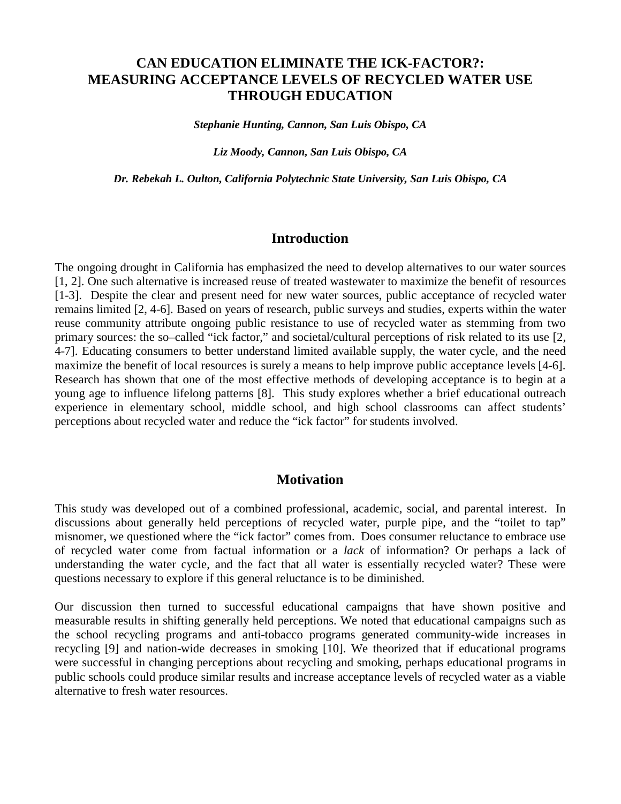# **CAN EDUCATION ELIMINATE THE ICK-FACTOR?: MEASURING ACCEPTANCE LEVELS OF RECYCLED WATER USE THROUGH EDUCATION**

*Stephanie Hunting, Cannon, San Luis Obispo, CA*

*Liz Moody, Cannon, San Luis Obispo, CA*

*Dr. Rebekah L. Oulton, California Polytechnic State University, San Luis Obispo, CA*

#### **Introduction**

The ongoing drought in California has emphasized the need to develop alternatives to our water sources [\[1,](#page-9-0) [2\]](#page-9-1). One such alternative is increased reuse of treated wastewater to maximize the benefit of resources [\[1-3\]](#page-9-0). Despite the clear and present need for new water sources, public acceptance of recycled water remains limited [\[2,](#page-9-1) [4-6\]](#page-9-2). Based on years of research, public surveys and studies, experts within the water reuse community attribute ongoing public resistance to use of recycled water as stemming from two primary sources: the so–called "ick factor," and societal/cultural perceptions of risk related to its use [\[2,](#page-9-1) [4-7\]](#page-9-2). Educating consumers to better understand limited available supply, the water cycle, and the need maximize the benefit of local resources is surely a means to help improve public acceptance levels [\[4-6\]](#page-9-2). Research has shown that one of the most effective methods of developing acceptance is to begin at a young age to influence lifelong patterns [\[8\]](#page-9-3). This study explores whether a brief educational outreach experience in elementary school, middle school, and high school classrooms can affect students' perceptions about recycled water and reduce the "ick factor" for students involved.

## **Motivation**

This study was developed out of a combined professional, academic, social, and parental interest. In discussions about generally held perceptions of recycled water, purple pipe, and the "toilet to tap" misnomer, we questioned where the "ick factor" comes from. Does consumer reluctance to embrace use of recycled water come from factual information or a *lack* of information? Or perhaps a lack of understanding the water cycle, and the fact that all water is essentially recycled water? These were questions necessary to explore if this general reluctance is to be diminished.

Our discussion then turned to successful educational campaigns that have shown positive and measurable results in shifting generally held perceptions. We noted that educational campaigns such as the school recycling programs and anti-tobacco programs generated community-wide increases in recycling [\[9\]](#page-9-4) and nation-wide decreases in smoking [\[10\]](#page-9-5). We theorized that if educational programs were successful in changing perceptions about recycling and smoking, perhaps educational programs in public schools could produce similar results and increase acceptance levels of recycled water as a viable alternative to fresh water resources.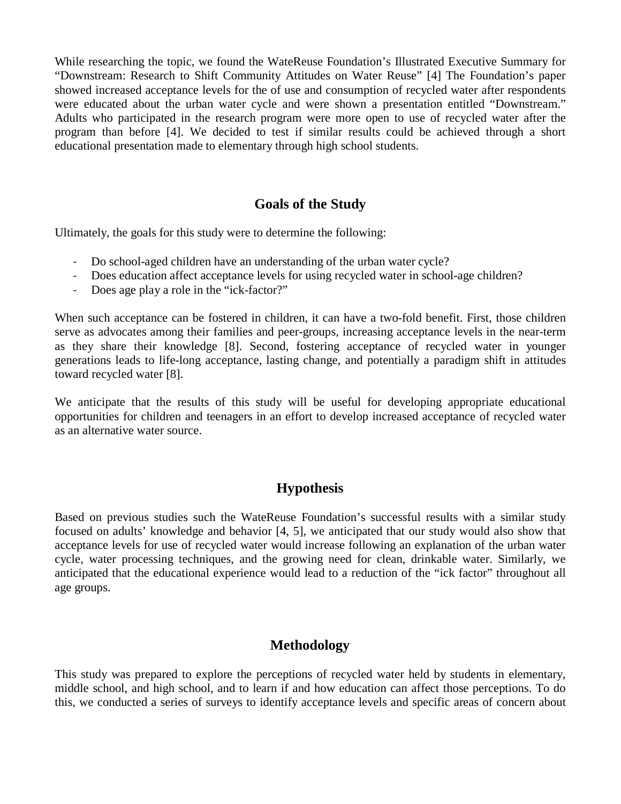While researching the topic, we found the WateReuse Foundation's Illustrated Executive Summary for "Downstream: Research to Shift Community Attitudes on Water Reuse" [\[4\]](#page-9-2) The Foundation's paper showed increased acceptance levels for the of use and consumption of recycled water after respondents were educated about the urban water cycle and were shown a presentation entitled "Downstream." Adults who participated in the research program were more open to use of recycled water after the program than before [\[4\]](#page-9-2). We decided to test if similar results could be achieved through a short educational presentation made to elementary through high school students.

# **Goals of the Study**

Ultimately, the goals for this study were to determine the following:

- Do school-aged children have an understanding of the urban water cycle?
- Does education affect acceptance levels for using recycled water in school-age children?
- Does age play a role in the "ick-factor?"

When such acceptance can be fostered in children, it can have a two-fold benefit. First, those children serve as advocates among their families and peer-groups, increasing acceptance levels in the near-term as they share their knowledge [\[8\]](#page-9-3). Second, fostering acceptance of recycled water in younger generations leads to life-long acceptance, lasting change, and potentially a paradigm shift in attitudes toward recycled water [\[8\]](#page-9-3).

We anticipate that the results of this study will be useful for developing appropriate educational opportunities for children and teenagers in an effort to develop increased acceptance of recycled water as an alternative water source.

# **Hypothesis**

Based on previous studies such the WateReuse Foundation's successful results with a similar study focused on adults' knowledge and behavior [\[4,](#page-9-2) [5\]](#page-9-6), we anticipated that our study would also show that acceptance levels for use of recycled water would increase following an explanation of the urban water cycle, water processing techniques, and the growing need for clean, drinkable water. Similarly, we anticipated that the educational experience would lead to a reduction of the "ick factor" throughout all age groups.

# **Methodology**

This study was prepared to explore the perceptions of recycled water held by students in elementary, middle school, and high school, and to learn if and how education can affect those perceptions. To do this, we conducted a series of surveys to identify acceptance levels and specific areas of concern about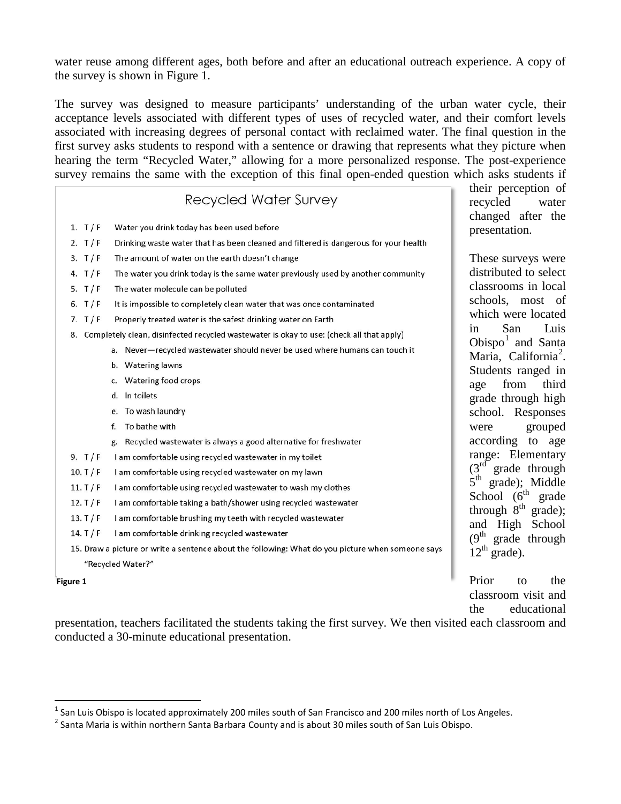water reuse among different ages, both before and after an educational outreach experience. A copy of the survey is shown in Figure 1.

The survey was designed to measure participants' understanding of the urban water cycle, their acceptance levels associated with different types of uses of recycled water, and their comfort levels associated with increasing degrees of personal contact with reclaimed water. The final question in the first survey asks students to respond with a sentence or drawing that represents what they picture when hearing the term "Recycled Water," allowing for a more personalized response. The post-experience survey remains the same with the exception of this final open-ended question which asks students if

# **Recycled Water Survey**

- 1.  $T/F$ Water you drink today has been used before
- Drinking waste water that has been cleaned and filtered is dangerous for your health 2.  $T/F$
- $3. T/F$ The amount of water on the earth doesn't change
- 4.  $T/F$ The water you drink today is the same water previously used by another community
- 5. T/F The water molecule can be polluted
- 6.  $T/F$ It is impossible to completely clean water that was once contaminated
- 7.  $T/F$ Properly treated water is the safest drinking water on Earth
- 8. Completely clean, disinfected recycled wastewater is okay to use: (check all that apply)
	- a. Never-recycled wastewater should never be used where humans can touch it
	- b. Watering lawns
	- c. Watering food crops
	- d. In toilets
	- e. To wash laundry
	- f. To bathe with
	- g. Recycled wastewater is always a good alternative for freshwater
- 9.  $T/F$ I am comfortable using recycled wastewater in my toilet
- $10. T/F$ I am comfortable using recycled wastewater on my lawn
- $11. T/F$ I am comfortable using recycled wastewater to wash my clothes
- 12. T $/F$ I am comfortable taking a bath/shower using recycled wastewater
- $13. T/F$ I am comfortable brushing my teeth with recycled wastewater
- $14. T/F$ I am comfortable drinking recycled wastewater
- 15. Draw a picture or write a sentence about the following: What do you picture when someone says "Recycled Water?"

**Figure 1**

 $\overline{a}$ 

through  $8<sup>th</sup>$  grade); and High School  $(9<sup>th</sup>$  grade through  $12^{th}$  grade). Prior to the classroom visit and

the educational

presentation, teachers facilitated the students taking the first survey. We then visited each classroom and conducted a 30-minute educational presentation.

their perception of recycled water changed after the presentation.

These surveys were distributed to select classrooms in local schools, most of which were located in San Luis Obispo $<sup>1</sup>$  $<sup>1</sup>$  $<sup>1</sup>$  and Santa</sup> Maria, California<sup>[2](#page-2-1)</sup>. Students ranged in age from third grade through high school. Responses were grouped according to age range: Elementary  $(3<sup>rd</sup>$  grade through  $5<sup>th</sup>$  grade); Middle School  $(6^{th}$  grade

<span id="page-2-0"></span> $^1$  San Luis Obispo is located approximately 200 miles south of San Francisco and 200 miles north of Los Angeles.

<span id="page-2-1"></span><sup>&</sup>lt;sup>2</sup> Santa Maria is within northern Santa Barbara County and is about 30 miles south of San Luis Obispo.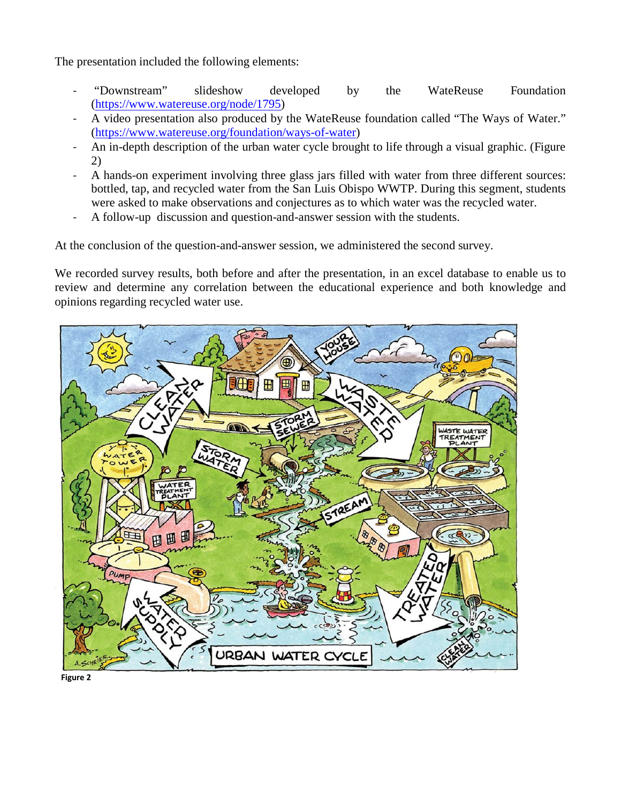The presentation included the following elements:

- "Downstream" slideshow developed by the WateReuse Foundation [\(https://www.watereuse.org/node/1795\)](https://www.watereuse.org/node/1795)
- A video presentation also produced by the WateReuse foundation called "The Ways of Water." [\(https://www.watereuse.org/foundation/ways-of-water\)](https://www.watereuse.org/foundation/ways-of-water)
- An in-depth description of the urban water cycle brought to life through a visual graphic. (Figure 2)
- A hands-on experiment involving three glass jars filled with water from three different sources: bottled, tap, and recycled water from the San Luis Obispo WWTP. During this segment, students were asked to make observations and conjectures as to which water was the recycled water.
- A follow-up discussion and question-and-answer session with the students.

At the conclusion of the question-and-answer session, we administered the second survey.

We recorded survey results, both before and after the presentation, in an excel database to enable us to review and determine any correlation between the educational experience and both knowledge and opinions regarding recycled water use.



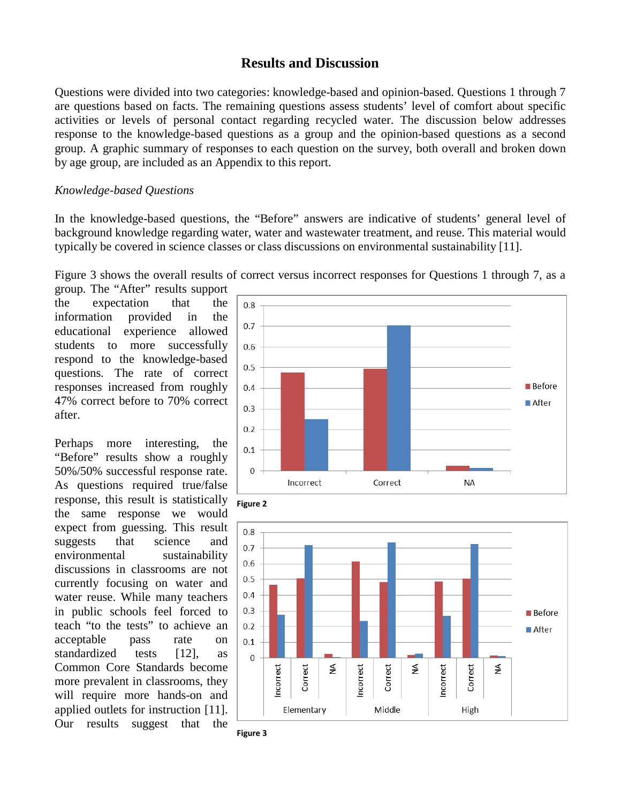### **Results and Discussion**

Questions were divided into two categories: knowledge-based and opinion-based. Questions 1 through 7 are questions based on facts. The remaining questions assess students' level of comfort about specific activities or levels of personal contact regarding recycled water. The discussion below addresses response to the knowledge-based questions as a group and the opinion-based questions as a second group. A graphic summary of responses to each question on the survey, both overall and broken down by age group, are included as an Appendix to this report.

#### *Knowledge-based Questions*

In the knowledge-based questions, the "Before" answers are indicative of students' general level of background knowledge regarding water, water and wastewater treatment, and reuse. This material would typically be covered in science classes or class discussions on environmental sustainability [\[11\]](#page-9-7).

Figure 3 shows the overall results of correct versus incorrect responses for Questions 1 through 7, as a

group. The "After" results support the expectation that the information provided in the educational experience allowed students to more successfully respond to the knowledge-based questions. The rate of correct responses increased from roughly 47% correct before to 70% correct after.

Perhaps more interesting, the "Before" results show a roughly 50%/50% successful response rate. As questions required true/false response, this result is statistically the same response we would expect from guessing. This result suggests that science and environmental sustainability discussions in classrooms are not currently focusing on water and water reuse. While many teachers in public schools feel forced to teach "to the tests" to achieve an acceptable pass rate on standardized tests [\[12\]](#page-9-8), as Common Core Standards become more prevalent in classrooms, they will require more hands-on and applied outlets for instruction [\[11\]](#page-9-7). Our results suggest that the







**Figure 2**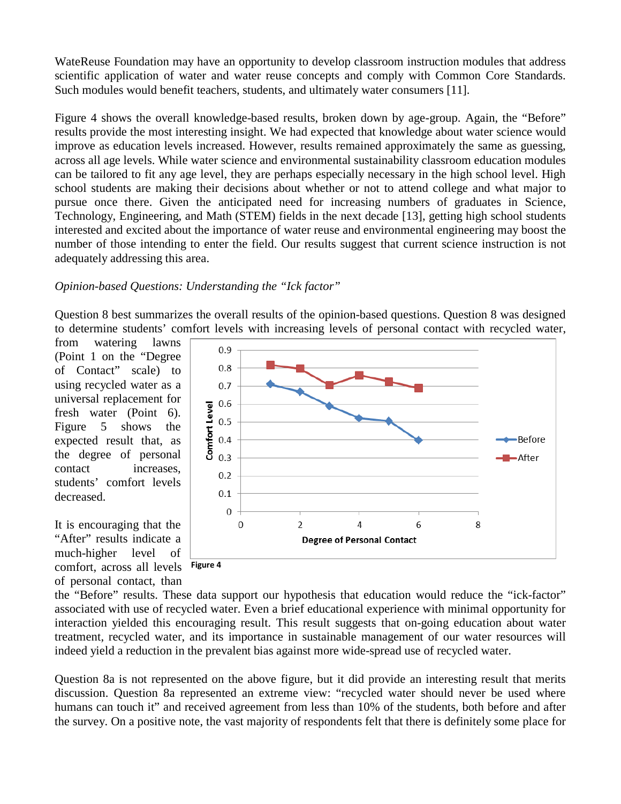WateReuse Foundation may have an opportunity to develop classroom instruction modules that address scientific application of water and water reuse concepts and comply with Common Core Standards. Such modules would benefit teachers, students, and ultimately water consumers [\[11\]](#page-9-7).

Figure 4 shows the overall knowledge-based results, broken down by age-group. Again, the "Before" results provide the most interesting insight. We had expected that knowledge about water science would improve as education levels increased. However, results remained approximately the same as guessing, across all age levels. While water science and environmental sustainability classroom education modules can be tailored to fit any age level, they are perhaps especially necessary in the high school level. High school students are making their decisions about whether or not to attend college and what major to pursue once there. Given the anticipated need for increasing numbers of graduates in Science, Technology, Engineering, and Math (STEM) fields in the next decade [\[13\]](#page-9-9), getting high school students interested and excited about the importance of water reuse and environmental engineering may boost the number of those intending to enter the field. Our results suggest that current science instruction is not adequately addressing this area.

### *Opinion-based Questions: Understanding the "Ick factor"*

Question 8 best summarizes the overall results of the opinion-based questions. Question 8 was designed to determine students' comfort levels with increasing levels of personal contact with recycled water,

from watering lawns (Point 1 on the "Degree of Contact" scale) to using recycled water as a universal replacement for fresh water (Point 6). Figure 5 shows the expected result that, as the degree of personal contact increases, students' comfort levels decreased.

It is encouraging that the "After" results indicate a much-higher level of comfort, across all levels **Figure 4**of personal contact, than



the "Before" results. These data support our hypothesis that education would reduce the "ick-factor" associated with use of recycled water. Even a brief educational experience with minimal opportunity for interaction yielded this encouraging result. This result suggests that on-going education about water treatment, recycled water, and its importance in sustainable management of our water resources will indeed yield a reduction in the prevalent bias against more wide-spread use of recycled water.

Question 8a is not represented on the above figure, but it did provide an interesting result that merits discussion. Question 8a represented an extreme view: "recycled water should never be used where humans can touch it" and received agreement from less than 10% of the students, both before and after the survey. On a positive note, the vast majority of respondents felt that there is definitely some place for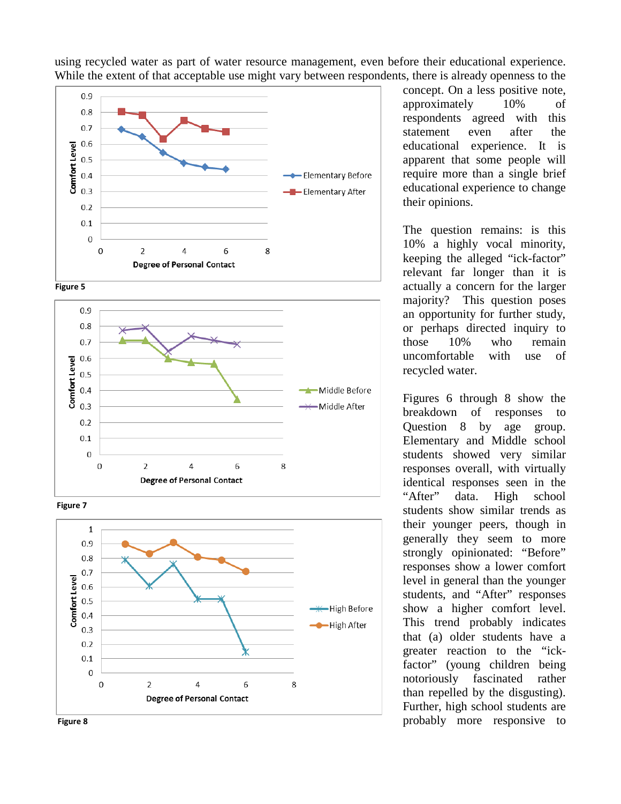

using recycled water as part of water resource management, even before their educational experience. While the extent of that acceptable use might vary between respondents, there is already openness to the









concept. On a less positive note, approximately 10% of respondents agreed with this statement even after the educational experience. It is apparent that some people will require more than a single brief educational experience to change their opinions.

The question remains: is this 10% a highly vocal minority, keeping the alleged "ick-factor" relevant far longer than it is actually a concern for the larger majority? This question poses an opportunity for further study, or perhaps directed inquiry to those 10% who remain uncomfortable with use of recycled water.

Figures 6 through 8 show the breakdown of responses to Question 8 by age group. Elementary and Middle school students showed very similar responses overall, with virtually identical responses seen in the "After" data. High school students show similar trends as their younger peers, though in generally they seem to more strongly opinionated: "Before" responses show a lower comfort level in general than the younger students, and "After" responses show a higher comfort level. This trend probably indicates that (a) older students have a greater reaction to the "ickfactor" (young children being notoriously fascinated rather than repelled by the disgusting). Further, high school students are probably more responsive to

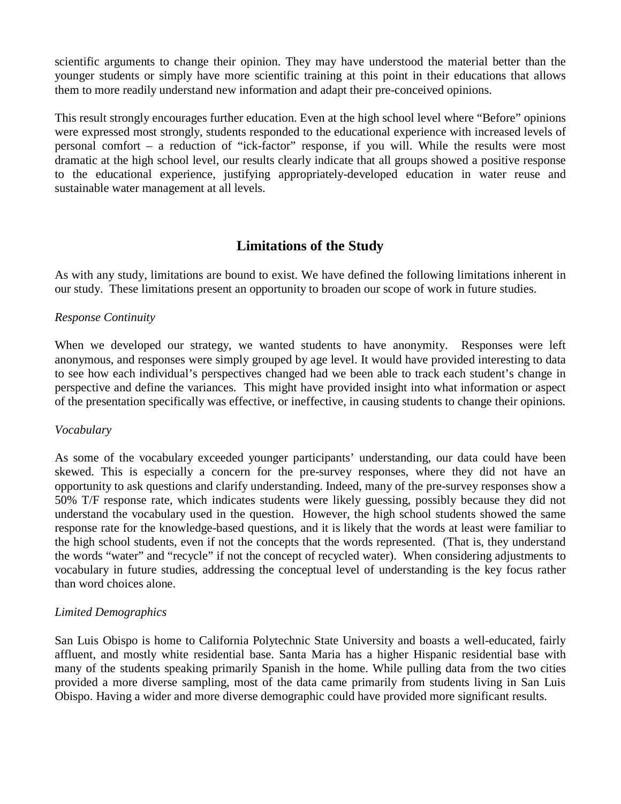scientific arguments to change their opinion. They may have understood the material better than the younger students or simply have more scientific training at this point in their educations that allows them to more readily understand new information and adapt their pre-conceived opinions.

This result strongly encourages further education. Even at the high school level where "Before" opinions were expressed most strongly, students responded to the educational experience with increased levels of personal comfort – a reduction of "ick-factor" response, if you will. While the results were most dramatic at the high school level, our results clearly indicate that all groups showed a positive response to the educational experience, justifying appropriately-developed education in water reuse and sustainable water management at all levels.

# **Limitations of the Study**

As with any study, limitations are bound to exist. We have defined the following limitations inherent in our study. These limitations present an opportunity to broaden our scope of work in future studies.

### *Response Continuity*

When we developed our strategy, we wanted students to have anonymity. Responses were left anonymous, and responses were simply grouped by age level. It would have provided interesting to data to see how each individual's perspectives changed had we been able to track each student's change in perspective and define the variances. This might have provided insight into what information or aspect of the presentation specifically was effective, or ineffective, in causing students to change their opinions.

#### *Vocabulary*

As some of the vocabulary exceeded younger participants' understanding, our data could have been skewed. This is especially a concern for the pre-survey responses, where they did not have an opportunity to ask questions and clarify understanding. Indeed, many of the pre-survey responses show a 50% T/F response rate, which indicates students were likely guessing, possibly because they did not understand the vocabulary used in the question. However, the high school students showed the same response rate for the knowledge-based questions, and it is likely that the words at least were familiar to the high school students, even if not the concepts that the words represented. (That is, they understand the words "water" and "recycle" if not the concept of recycled water). When considering adjustments to vocabulary in future studies, addressing the conceptual level of understanding is the key focus rather than word choices alone.

#### *Limited Demographics*

San Luis Obispo is home to California Polytechnic State University and boasts a well-educated, fairly affluent, and mostly white residential base. Santa Maria has a higher Hispanic residential base with many of the students speaking primarily Spanish in the home. While pulling data from the two cities provided a more diverse sampling, most of the data came primarily from students living in San Luis Obispo. Having a wider and more diverse demographic could have provided more significant results.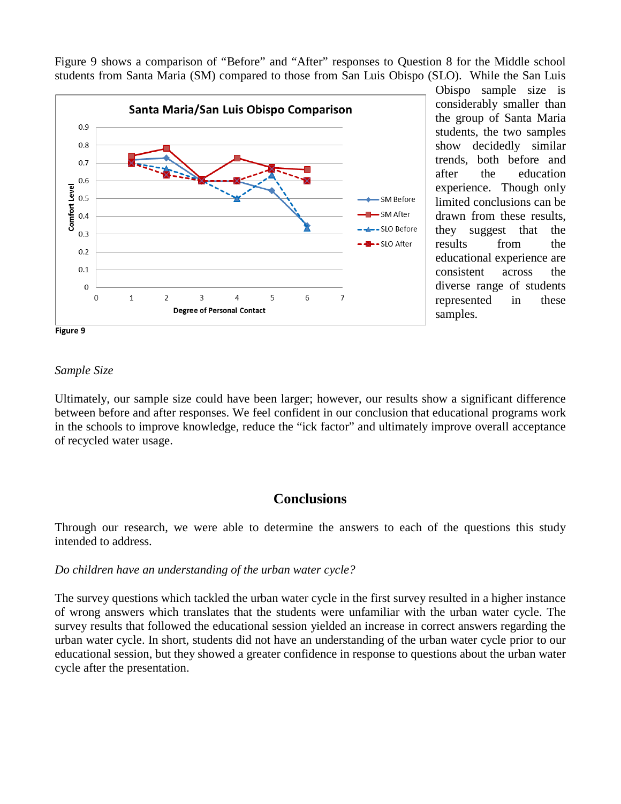Figure 9 shows a comparison of "Before" and "After" responses to Question 8 for the Middle school students from Santa Maria (SM) compared to those from San Luis Obispo (SLO). While the San Luis



Obispo sample size is considerably smaller than the group of Santa Maria students, the two samples show decidedly similar trends, both before and after the education experience. Though only limited conclusions can be drawn from these results, they suggest that the results from the educational experience are consistent across the diverse range of students represented in these samples.

#### *Sample Size*

Ultimately, our sample size could have been larger; however, our results show a significant difference between before and after responses. We feel confident in our conclusion that educational programs work in the schools to improve knowledge, reduce the "ick factor" and ultimately improve overall acceptance of recycled water usage.

# **Conclusions**

Through our research, we were able to determine the answers to each of the questions this study intended to address.

#### *Do children have an understanding of the urban water cycle?*

The survey questions which tackled the urban water cycle in the first survey resulted in a higher instance of wrong answers which translates that the students were unfamiliar with the urban water cycle. The survey results that followed the educational session yielded an increase in correct answers regarding the urban water cycle. In short, students did not have an understanding of the urban water cycle prior to our educational session, but they showed a greater confidence in response to questions about the urban water cycle after the presentation.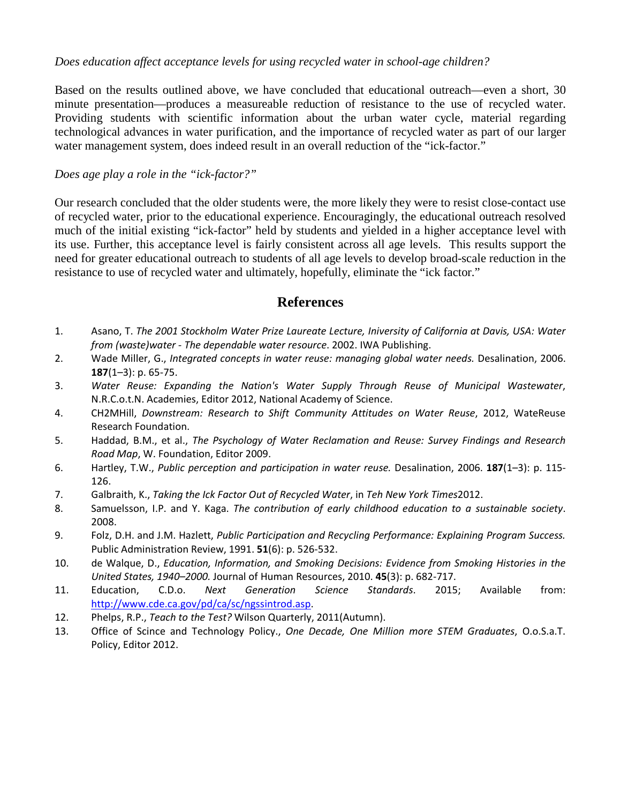### *Does education affect acceptance levels for using recycled water in school-age children?*

Based on the results outlined above, we have concluded that educational outreach—even a short, 30 minute presentation—produces a measureable reduction of resistance to the use of recycled water. Providing students with scientific information about the urban water cycle, material regarding technological advances in water purification, and the importance of recycled water as part of our larger water management system, does indeed result in an overall reduction of the "ick-factor."

### *Does age play a role in the "ick-factor?"*

Our research concluded that the older students were, the more likely they were to resist close-contact use of recycled water, prior to the educational experience. Encouragingly, the educational outreach resolved much of the initial existing "ick-factor" held by students and yielded in a higher acceptance level with its use. Further, this acceptance level is fairly consistent across all age levels. This results support the need for greater educational outreach to students of all age levels to develop broad-scale reduction in the resistance to use of recycled water and ultimately, hopefully, eliminate the "ick factor."

# **References**

- <span id="page-9-0"></span>1. Asano, T. *The 2001 Stockholm Water Prize Laureate Lecture, Iniversity of California at Davis, USA: Water from (waste)water - The dependable water resource*. 2002. IWA Publishing.
- <span id="page-9-1"></span>2. Wade Miller, G., *Integrated concepts in water reuse: managing global water needs.* Desalination, 2006. **187**(1–3): p. 65-75.
- 3. *Water Reuse: Expanding the Nation's Water Supply Through Reuse of Municipal Wastewater*, N.R.C.o.t.N. Academies, Editor 2012, National Academy of Science.
- <span id="page-9-2"></span>4. CH2MHill, *Downstream: Research to Shift Community Attitudes on Water Reuse*, 2012, WateReuse Research Foundation.
- <span id="page-9-6"></span>5. Haddad, B.M., et al., *The Psychology of Water Reclamation and Reuse: Survey Findings and Research Road Map*, W. Foundation, Editor 2009.
- 6. Hartley, T.W., *Public perception and participation in water reuse.* Desalination, 2006. **187**(1–3): p. 115- 126.
- 7. Galbraith, K., *Taking the Ick Factor Out of Recycled Water*, in *Teh New York Times*2012.
- <span id="page-9-3"></span>8. Samuelsson, I.P. and Y. Kaga. *The contribution of early childhood education to a sustainable society*. 2008.
- <span id="page-9-4"></span>9. Folz, D.H. and J.M. Hazlett, *Public Participation and Recycling Performance: Explaining Program Success.* Public Administration Review, 1991. **51**(6): p. 526-532.
- <span id="page-9-5"></span>10. de Walque, D., *Education, Information, and Smoking Decisions: Evidence from Smoking Histories in the United States, 1940–2000.* Journal of Human Resources, 2010. **45**(3): p. 682-717.
- <span id="page-9-7"></span>11. Education, C.D.o. *Next Generation Science Standards*. 2015; Available from: [http://www.cde.ca.gov/pd/ca/sc/ngssintrod.asp.](http://www.cde.ca.gov/pd/ca/sc/ngssintrod.asp)
- <span id="page-9-8"></span>12. Phelps, R.P., *Teach to the Test?* Wilson Quarterly, 2011(Autumn).
- <span id="page-9-9"></span>13. Office of Scince and Technology Policy., *One Decade, One Million more STEM Graduates*, O.o.S.a.T. Policy, Editor 2012.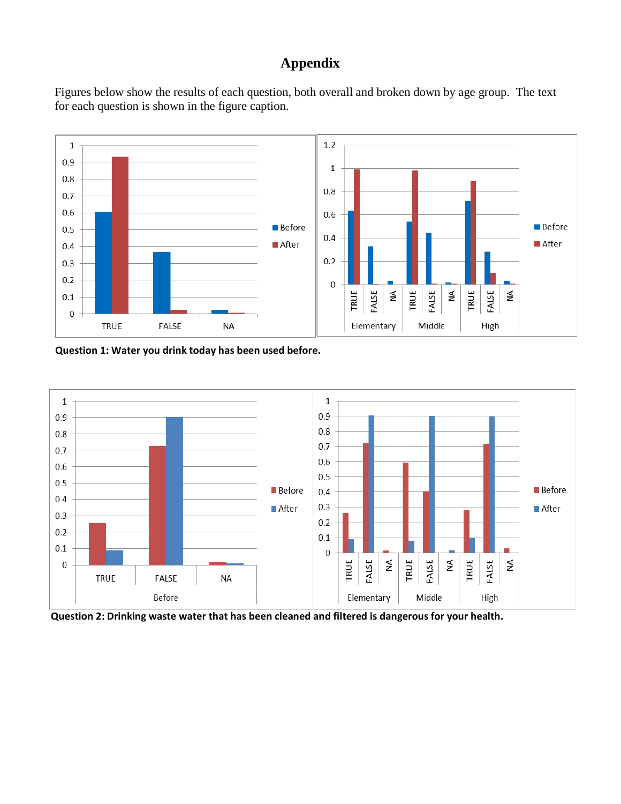# **Appendix**

Figures below show the results of each question, both overall and broken down by age group. The text for each question is shown in the figure caption.



**Question 1: Water you drink today has been used before.**



**Question 2: Drinking waste water that has been cleaned and filtered is dangerous for your health.**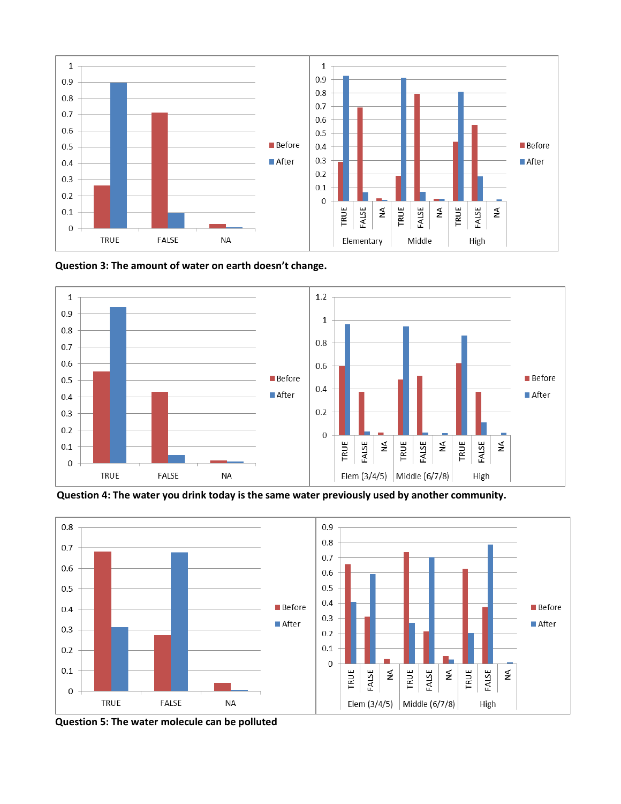

**Question 3: The amount of water on earth doesn't change.**



**Question 4: The water you drink today is the same water previously used by another community.**



**Question 5: The water molecule can be polluted**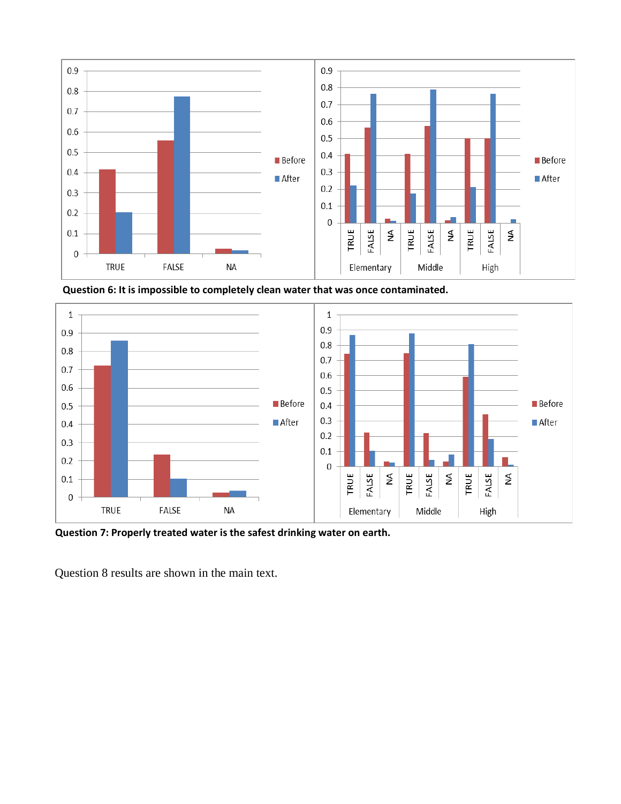

**Question 6: It is impossible to completely clean water that was once contaminated.**



**Question 7: Properly treated water is the safest drinking water on earth.**

Question 8 results are shown in the main text.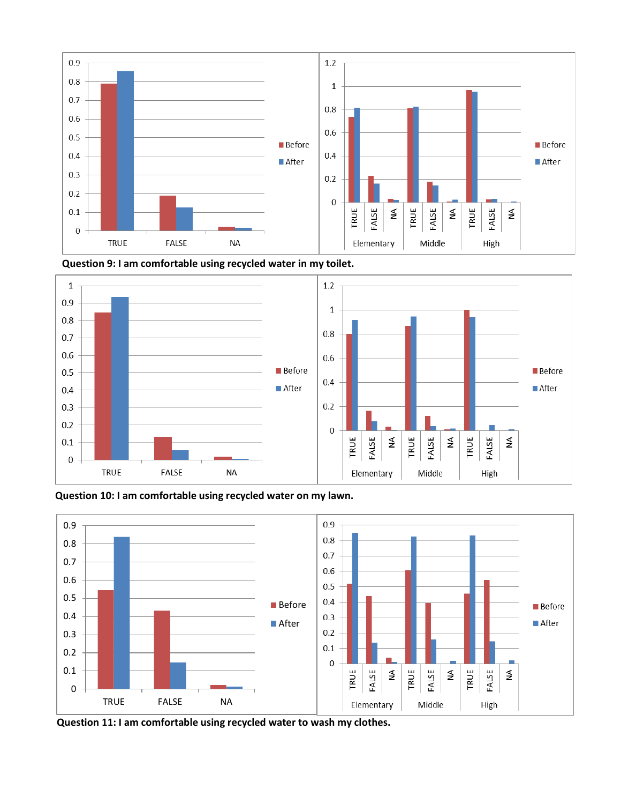





**Question 10: I am comfortable using recycled water on my lawn.**



**Question 11: I am comfortable using recycled water to wash my clothes.**